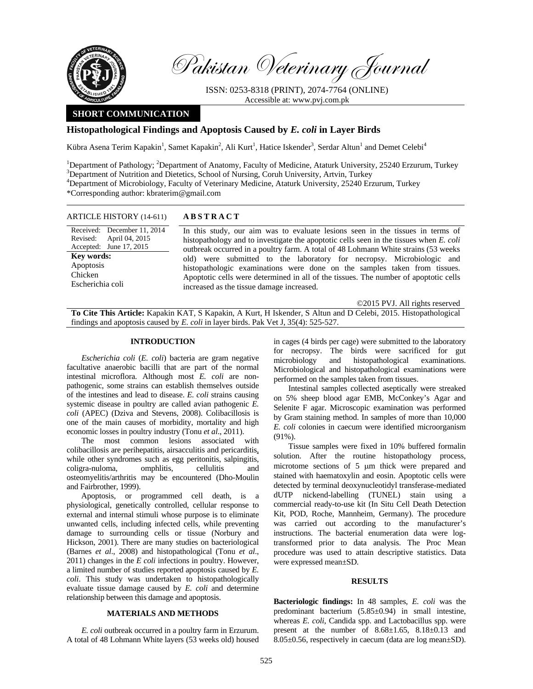

Pakistan Veterinary Journal

ISSN: 0253-8318 (PRINT), 2074-7764 (ONLINE) Accessible at: www.pvj.com.pk

# **SHORT COMMUNICATION**

# **Histopathological Findings and Apoptosis Caused by** *E. coli* **in Layer Birds**

Kübra Asena Terim Kapakin<sup>1</sup>, Samet Kapakin<sup>2</sup>, Ali Kurt<sup>1</sup>, Hatice Iskender<sup>3</sup>, Serdar Altun<sup>1</sup> and Demet Celebi<sup>4</sup>

<sup>1</sup>Department of Pathology; <sup>2</sup>Department of Anatomy, Faculty of Medicine, Ataturk University, 25240 Erzurum, Turkey <sup>3</sup>Department of Nutrition and Distation School of Nursing, Camb University, Artyin, Turkey  ${}^{3}$ Department of Nutrition and Dietetics, School of Nursing, Coruh University, Artvin, Turkey 4 Department of Microbiology, Faculty of Veterinary Medicine, Ataturk University, 25240 Erzurum, Turkey \*Corresponding author: kbraterim@gmail.com

#### ARTICLE HISTORY (14-611) **ABSTRACT**

Received: December 11, 2014 Revised: Accepted: April 04, 2015 June 17, 2015 **Key words:**  Apoptosis Chicken Escherichia coli

 In this study, our aim was to evaluate lesions seen in the tissues in terms of histopathology and to investigate the apoptotic cells seen in the tissues when *E. coli* outbreak occurred in a poultry farm. A total of 48 Lohmann White strains (53 weeks old) were submitted to the laboratory for necropsy. Microbiologic and histopathologic examinations were done on the samples taken from tissues. Apoptotic cells were determined in all of the tissues. The number of apoptotic cells increased as the tissue damage increased.

©2015 PVJ. All rights reserved

**To Cite This Article:** Kapakin KAT, S Kapakin, A Kurt, H Iskender, S Altun and D Celebi, 2015. Histopathological findings and apoptosis caused by *E. coli* in layer birds. Pak Vet J, 35(4): 525-527.

# **INTRODUCTION**

*Escherichia coli* (*E. coli*) bacteria are gram negative facultative anaerobic bacilli that are part of the normal intestinal microflora. Although most *E. coli* are nonpathogenic, some strains can establish themselves outside of the intestines and lead to disease. *E. coli* strains causing systemic disease in poultry are called avian pathogenic *E. coli* (APEC) (Dziva and Stevens, 2008). Colibacillosis is one of the main causes of morbidity, mortality and high economic losses in poultry industry (Tonu *et al*., 2011).

The most common lesions associated with colibacillosis are perihepatitis, airsacculitis and pericarditis, while other syndromes such as egg peritonitis, salpingitis, coligra-nuloma, omphlitis, cellulitis and osteomyelitis/arthritis may be encountered (Dho-Moulin and Fairbrother, 1999).

Apoptosis, or programmed cell death, is a physiological, genetically controlled, cellular response to external and internal stimuli whose purpose is to eliminate unwanted cells, including infected cells, while preventing damage to surrounding cells or tissue (Norbury and Hickson, 2001). There are many studies on bacteriological (Barnes *et al*., 2008) and histopathological (Tonu *et al*., 2011) changes in the *E coli* infections in poultry. However, a limited number of studies reported apoptosis caused by *E. coli*. This study was undertaken to histopathologically evaluate tissue damage caused by *E. coli* and determine relationship between this damage and apoptosis.

## **MATERIALS AND METHODS**

*E. coli* outbreak occurred in a poultry farm in Erzurum. A total of 48 Lohmann White layers (53 weeks old) housed in cages (4 birds per cage) were submitted to the laboratory for necropsy. The birds were sacrificed for gut microbiology and histopathological examinations. and histopathological examinations. Microbiological and histopathological examinations were performed on the samples taken from tissues.

Intestinal samples collected aseptically were streaked on 5% sheep blood agar EMB, McConkey's Agar and Selenite F agar. Microscopic examination was performed by Gram staining method. In samples of more than 10,000 *E. coli* colonies in caecum were identified microorganism (91%).

Tissue samples were fixed in 10% buffered formalin solution. After the routine histopathology process, microtome sections of 5  $\mu$ m thick were prepared and stained with haematoxylin and eosin. Apoptotic cells were detected by terminal deoxynucleotidyl transferase-mediated dUTP nickend-labelling (TUNEL) stain using a commercial ready-to-use kit (In Situ Cell Death Detection Kit, POD, Roche, Mannheim, Germany). The procedure was carried out according to the manufacturer's instructions. The bacterial enumeration data were logtransformed prior to data analysis. The Proc Mean procedure was used to attain descriptive statistics. Data were expressed mean±SD.

# **RESULTS**

**Bacteriologic findings:** In 48 samples, *E. coli* was the predominant bacterium (5.85±0.94) in small intestine, whereas *E. coli*, Candida spp. and Lactobacillus spp. were present at the number of 8.68±1.65, 8.18±0.13 and 8.05±0.56, respectively in caecum (data are log mean±SD).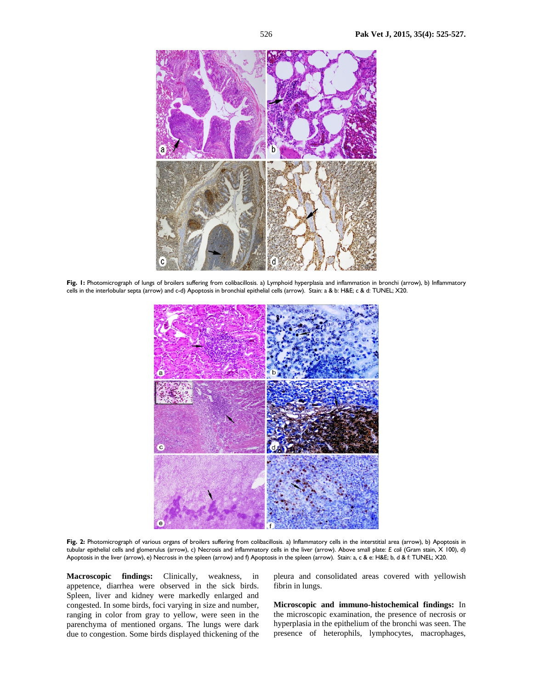

**Fig. 1:** Photomicrograph of lungs of broilers suffering from colibacillosis. a) Lymphoid hyperplasia and inflammation in bronchi (arrow), b) Inflammatory cells in the interlobular septa (arrow) and c-d) Apoptosis in bronchial epithelial cells (arrow). Stain: a & b: H&E; c & d: TUNEL; X20.



Fig. 2: Photomicrograph of various organs of broilers suffering from colibacillosis. a) Inflammatory cells in the interstitial area (arrow), b) Apoptosis in tubular epithelial cells and glomerulus (arrow), c) Necrosis and inflammatory cells in the liver (arrow). Above small plate: *E coli* (Gram stain, X 100), d) Apoptosis in the liver (arrow), e) Necrosis in the spleen (arrow) and f) Apoptosis in the spleen (arrow). Stain: a, c & e: H&E; b, d & f: TUNEL; X20.

**Macroscopic findings:** Clinically, weakness, in appetence, diarrhea were observed in the sick birds. Spleen, liver and kidney were markedly enlarged and congested. In some birds, foci varying in size and number, ranging in color from gray to yellow, were seen in the parenchyma of mentioned organs. The lungs were dark due to congestion. Some birds displayed thickening of the

pleura and consolidated areas covered with yellowish fibrin in lungs.

**Microscopic and immuno-histochemical findings:** In the microscopic examination, the presence of necrosis or hyperplasia in the epithelium of the bronchi was seen. The presence of heterophils, lymphocytes, macrophages,